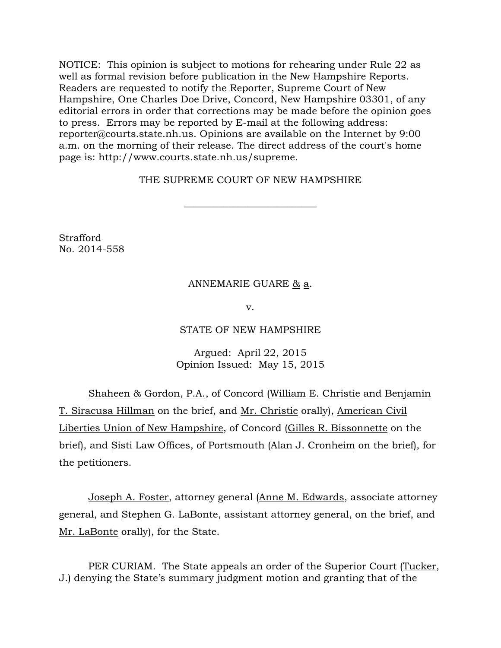NOTICE: This opinion is subject to motions for rehearing under Rule 22 as well as formal revision before publication in the New Hampshire Reports. Readers are requested to notify the Reporter, Supreme Court of New Hampshire, One Charles Doe Drive, Concord, New Hampshire 03301, of any editorial errors in order that corrections may be made before the opinion goes to press. Errors may be reported by E-mail at the following address: [reporter@courts.state.nh.us.](mailto:reporter@courts.state.nh.us) Opinions are available on the Internet by 9:00 a.m. on the morning of their release. The direct address of the court's home page is: http://www.courts.state.nh.us/supreme.

# THE SUPREME COURT OF NEW HAMPSHIRE

 $\overline{\phantom{a}}$  , where  $\overline{\phantom{a}}$  , where  $\overline{\phantom{a}}$  , where  $\overline{\phantom{a}}$  ,  $\overline{\phantom{a}}$  ,  $\overline{\phantom{a}}$  ,  $\overline{\phantom{a}}$  ,  $\overline{\phantom{a}}$  ,  $\overline{\phantom{a}}$  ,  $\overline{\phantom{a}}$  ,  $\overline{\phantom{a}}$  ,  $\overline{\phantom{a}}$  ,  $\overline{\phantom{a}}$  ,  $\overline{\phantom{a}}$  ,  $\overline{\phantom$ 

**Strafford** No. 2014-558

## ANNEMARIE GUARE & a.

v.

## STATE OF NEW HAMPSHIRE

Argued: April 22, 2015 Opinion Issued: May 15, 2015

Shaheen & Gordon, P.A., of Concord (William E. Christie and Benjamin T. Siracusa Hillman on the brief, and Mr. Christie orally), American Civil Liberties Union of New Hampshire, of Concord (Gilles R. Bissonnette on the brief), and Sisti Law Offices, of Portsmouth (Alan J. Cronheim on the brief), for the petitioners.

Joseph A. Foster, attorney general (Anne M. Edwards, associate attorney general, and Stephen G. LaBonte, assistant attorney general, on the brief, and Mr. LaBonte orally), for the State.

PER CURIAM. The State appeals an order of the Superior Court (Tucker, J.) denying the State's summary judgment motion and granting that of the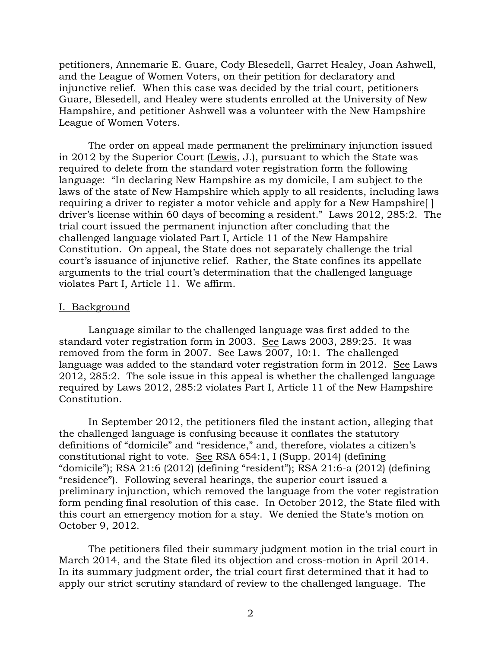petitioners, Annemarie E. Guare, Cody Blesedell, Garret Healey, Joan Ashwell, and the League of Women Voters, on their petition for declaratory and injunctive relief. When this case was decided by the trial court, petitioners Guare, Blesedell, and Healey were students enrolled at the University of New Hampshire, and petitioner Ashwell was a volunteer with the New Hampshire League of Women Voters.

The order on appeal made permanent the preliminary injunction issued in 2012 by the Superior Court (Lewis, J.), pursuant to which the State was required to delete from the standard voter registration form the following language: "In declaring New Hampshire as my domicile, I am subject to the laws of the state of New Hampshire which apply to all residents, including laws requiring a driver to register a motor vehicle and apply for a New Hampshire[ ] driver's license within 60 days of becoming a resident." Laws 2012, 285:2. The trial court issued the permanent injunction after concluding that the challenged language violated Part I, Article 11 of the New Hampshire Constitution. On appeal, the State does not separately challenge the trial court's issuance of injunctive relief. Rather, the State confines its appellate arguments to the trial court's determination that the challenged language violates Part I, Article 11. We affirm.

### I. Background

Language similar to the challenged language was first added to the standard voter registration form in 2003. See Laws 2003, 289:25. It was removed from the form in 2007. See Laws 2007, 10:1. The challenged language was added to the standard voter registration form in 2012. See Laws 2012, 285:2. The sole issue in this appeal is whether the challenged language required by Laws 2012, 285:2 violates Part I, Article 11 of the New Hampshire Constitution.

In September 2012, the petitioners filed the instant action, alleging that the challenged language is confusing because it conflates the statutory definitions of "domicile" and "residence," and, therefore, violates a citizen's constitutional right to vote. See RSA 654:1, I (Supp. 2014) (defining "domicile"); RSA 21:6 (2012) (defining "resident"); RSA 21:6-a (2012) (defining "residence"). Following several hearings, the superior court issued a preliminary injunction, which removed the language from the voter registration form pending final resolution of this case. In October 2012, the State filed with this court an emergency motion for a stay. We denied the State's motion on October 9, 2012.

The petitioners filed their summary judgment motion in the trial court in March 2014, and the State filed its objection and cross-motion in April 2014. In its summary judgment order, the trial court first determined that it had to apply our strict scrutiny standard of review to the challenged language. The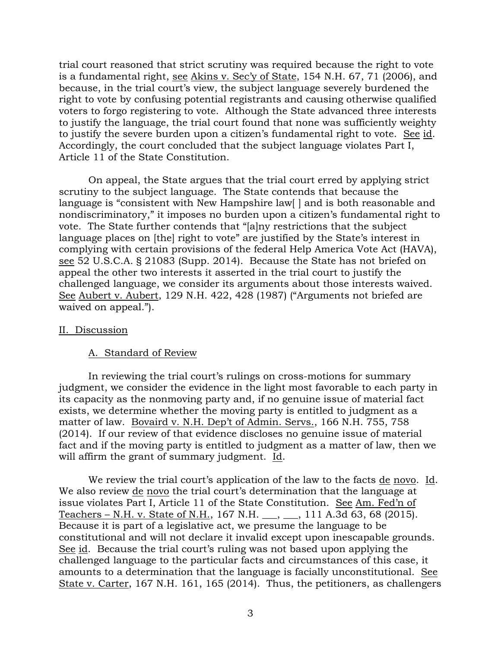trial court reasoned that strict scrutiny was required because the right to vote is a fundamental right, see Akins v. Sec'y of State, 154 N.H. 67, 71 (2006), and because, in the trial court's view, the subject language severely burdened the right to vote by confusing potential registrants and causing otherwise qualified voters to forgo registering to vote. Although the State advanced three interests to justify the language, the trial court found that none was sufficiently weighty to justify the severe burden upon a citizen's fundamental right to vote. See id. Accordingly, the court concluded that the subject language violates Part I, Article 11 of the State Constitution.

On appeal, the State argues that the trial court erred by applying strict scrutiny to the subject language. The State contends that because the language is "consistent with New Hampshire law | and is both reasonable and nondiscriminatory," it imposes no burden upon a citizen's fundamental right to vote. The State further contends that "[a]ny restrictions that the subject language places on [the] right to vote" are justified by the State's interest in complying with certain provisions of the federal Help America Vote Act (HAVA), see 52 U.S.C.A. § 21083 (Supp. 2014). Because the State has not briefed on appeal the other two interests it asserted in the trial court to justify the challenged language, we consider its arguments about those interests waived. See Aubert v. Aubert, 129 N.H. 422, 428 (1987) ("Arguments not briefed are waived on appeal.").

#### II. Discussion

#### A. Standard of Review

In reviewing the trial court's rulings on cross-motions for summary judgment, we consider the evidence in the light most favorable to each party in its capacity as the nonmoving party and, if no genuine issue of material fact exists, we determine whether the moving party is entitled to judgment as a matter of law. Bovaird v. N.H. Dep't of Admin. Servs., 166 N.H. 755, 758 (2014). If our review of that evidence discloses no genuine issue of material fact and if the moving party is entitled to judgment as a matter of law, then we will affirm the grant of summary judgment. Id.

We review the trial court's application of the law to the facts de novo. Id. We also review de novo the trial court's determination that the language at issue violates Part I, Article 11 of the State Constitution. See Am. Fed'n of Teachers – N.H. v. State of N.H., 167 N.H. \_\_\_, \_\_\_, 111 A.3d 63, 68 (2015). Because it is part of a legislative act, we presume the language to be constitutional and will not declare it invalid except upon inescapable grounds. See id. Because the trial court's ruling was not based upon applying the challenged language to the particular facts and circumstances of this case, it amounts to a determination that the language is facially unconstitutional. See State v. Carter, 167 N.H. 161, 165 (2014). Thus, the petitioners, as challengers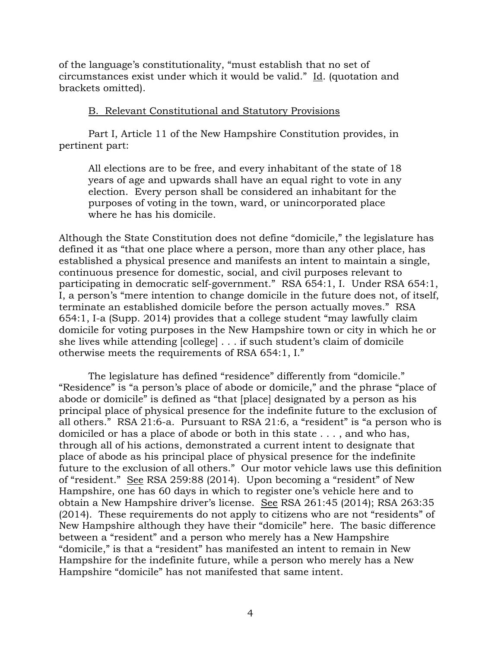of the language's constitutionality, "must establish that no set of circumstances exist under which it would be valid." Id. (quotation and brackets omitted).

## B. Relevant Constitutional and Statutory Provisions

Part I, Article 11 of the New Hampshire Constitution provides, in pertinent part:

All elections are to be free, and every inhabitant of the state of 18 years of age and upwards shall have an equal right to vote in any election. Every person shall be considered an inhabitant for the purposes of voting in the town, ward, or unincorporated place where he has his domicile.

Although the State Constitution does not define "domicile," the legislature has defined it as "that one place where a person, more than any other place, has established a physical presence and manifests an intent to maintain a single, continuous presence for domestic, social, and civil purposes relevant to participating in democratic self-government." RSA 654:1, I. Under RSA 654:1, I, a person's "mere intention to change domicile in the future does not, of itself, terminate an established domicile before the person actually moves." RSA 654:1, I-a (Supp. 2014) provides that a college student "may lawfully claim domicile for voting purposes in the New Hampshire town or city in which he or she lives while attending [college] . . . if such student's claim of domicile otherwise meets the requirements of RSA 654:1, I."

The legislature has defined "residence" differently from "domicile." "Residence" is "a person's place of abode or domicile," and the phrase "place of abode or domicile" is defined as "that [place] designated by a person as his principal place of physical presence for the indefinite future to the exclusion of all others." RSA 21:6-a. Pursuant to RSA 21:6, a "resident" is "a person who is domiciled or has a place of abode or both in this state . . . , and who has, through all of his actions, demonstrated a current intent to designate that place of abode as his principal place of physical presence for the indefinite future to the exclusion of all others." Our motor vehicle laws use this definition of "resident." See RSA 259:88 (2014). Upon becoming a "resident" of New Hampshire, one has 60 days in which to register one's vehicle here and to obtain a New Hampshire driver's license. See RSA 261:45 (2014); RSA 263:35 (2014). These requirements do not apply to citizens who are not "residents" of New Hampshire although they have their "domicile" here. The basic difference between a "resident" and a person who merely has a New Hampshire "domicile," is that a "resident" has manifested an intent to remain in New Hampshire for the indefinite future, while a person who merely has a New Hampshire "domicile" has not manifested that same intent.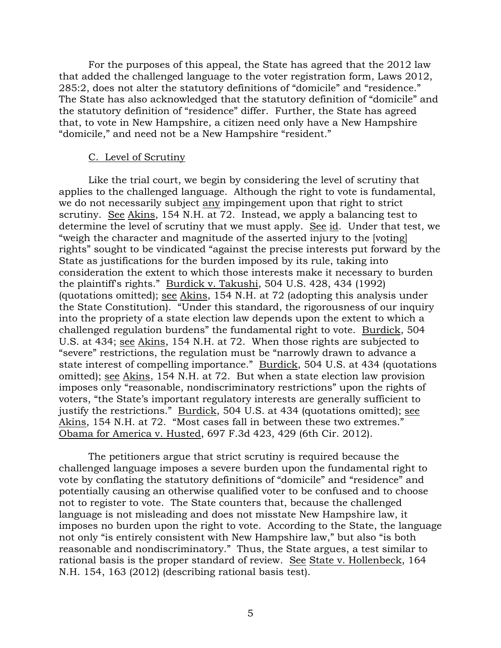For the purposes of this appeal, the State has agreed that the 2012 law that added the challenged language to the voter registration form, Laws 2012, 285:2, does not alter the statutory definitions of "domicile" and "residence." The State has also acknowledged that the statutory definition of "domicile" and the statutory definition of "residence" differ. Further, the State has agreed that, to vote in New Hampshire, a citizen need only have a New Hampshire "domicile," and need not be a New Hampshire "resident."

### C. Level of Scrutiny

Like the trial court, we begin by considering the level of scrutiny that applies to the challenged language. Although the right to vote is fundamental, we do not necessarily subject any impingement upon that right to strict scrutiny. See Akins, 154 N.H. at 72. Instead, we apply a balancing test to determine the level of scrutiny that we must apply. See id. Under that test, we "weigh the character and magnitude of the asserted injury to the [voting] rights" sought to be vindicated "against the precise interests put forward by the State as justifications for the burden imposed by its rule, taking into consideration the extent to which those interests make it necessary to burden the plaintiff's rights." Burdick v. Takushi, 504 U.S. 428, 434 (1992) (quotations omitted); see Akins, 154 N.H. at 72 (adopting this analysis under the State Constitution). "Under this standard, the rigorousness of our inquiry into the propriety of a state election law depends upon the extent to which a challenged regulation burdens" the fundamental right to vote. Burdick, 504 U.S. at 434; see Akins, 154 N.H. at 72. When those rights are subjected to "severe" restrictions, the regulation must be "narrowly drawn to advance a state interest of compelling importance." Burdick, 504 U.S. at 434 (quotations omitted); see Akins, 154 N.H. at 72. But when a state election law provision imposes only "reasonable, nondiscriminatory restrictions" upon the rights of voters, "the State's important regulatory interests are generally sufficient to justify the restrictions." Burdick, 504 U.S. at 434 (quotations omitted); see Akins, 154 N.H. at 72. "Most cases fall in between these two extremes." Obama for America v. Husted, 697 F.3d 423, 429 (6th Cir. 2012).

The petitioners argue that strict scrutiny is required because the challenged language imposes a severe burden upon the fundamental right to vote by conflating the statutory definitions of "domicile" and "residence" and potentially causing an otherwise qualified voter to be confused and to choose not to register to vote. The State counters that, because the challenged language is not misleading and does not misstate New Hampshire law, it imposes no burden upon the right to vote. According to the State, the language not only "is entirely consistent with New Hampshire law," but also "is both reasonable and nondiscriminatory." Thus, the State argues, a test similar to rational basis is the proper standard of review. See State v. Hollenbeck, 164 N.H. 154, 163 (2012) (describing rational basis test).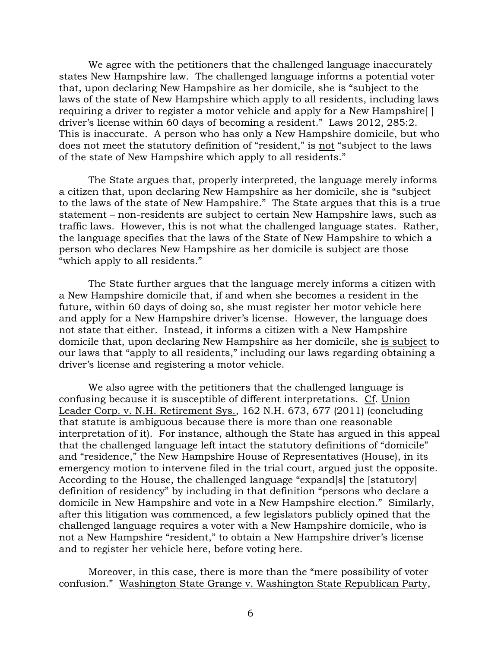We agree with the petitioners that the challenged language inaccurately states New Hampshire law. The challenged language informs a potential voter that, upon declaring New Hampshire as her domicile, she is "subject to the laws of the state of New Hampshire which apply to all residents, including laws requiring a driver to register a motor vehicle and apply for a New Hampshire[ ] driver's license within 60 days of becoming a resident." Laws 2012, 285:2. This is inaccurate. A person who has only a New Hampshire domicile, but who does not meet the statutory definition of "resident," is not "subject to the laws of the state of New Hampshire which apply to all residents."

The State argues that, properly interpreted, the language merely informs a citizen that, upon declaring New Hampshire as her domicile, she is "subject to the laws of the state of New Hampshire." The State argues that this is a true statement – non-residents are subject to certain New Hampshire laws, such as traffic laws. However, this is not what the challenged language states. Rather, the language specifies that the laws of the State of New Hampshire to which a person who declares New Hampshire as her domicile is subject are those "which apply to all residents."

The State further argues that the language merely informs a citizen with a New Hampshire domicile that, if and when she becomes a resident in the future, within 60 days of doing so, she must register her motor vehicle here and apply for a New Hampshire driver's license. However, the language does not state that either. Instead, it informs a citizen with a New Hampshire domicile that, upon declaring New Hampshire as her domicile, she is subject to our laws that "apply to all residents," including our laws regarding obtaining a driver's license and registering a motor vehicle.

We also agree with the petitioners that the challenged language is confusing because it is susceptible of different interpretations. Cf. Union Leader Corp. v. N.H. Retirement Sys., 162 N.H. 673, 677 (2011) (concluding that statute is ambiguous because there is more than one reasonable interpretation of it). For instance, although the State has argued in this appeal that the challenged language left intact the statutory definitions of "domicile" and "residence," the New Hampshire House of Representatives (House), in its emergency motion to intervene filed in the trial court, argued just the opposite. According to the House, the challenged language "expand[s] the [statutory] definition of residency" by including in that definition "persons who declare a domicile in New Hampshire and vote in a New Hampshire election." Similarly, after this litigation was commenced, a few legislators publicly opined that the challenged language requires a voter with a New Hampshire domicile, who is not a New Hampshire "resident," to obtain a New Hampshire driver's license and to register her vehicle here, before voting here.

Moreover, in this case, there is more than the "mere possibility of voter confusion." Washington State Grange v. Washington State Republican Party,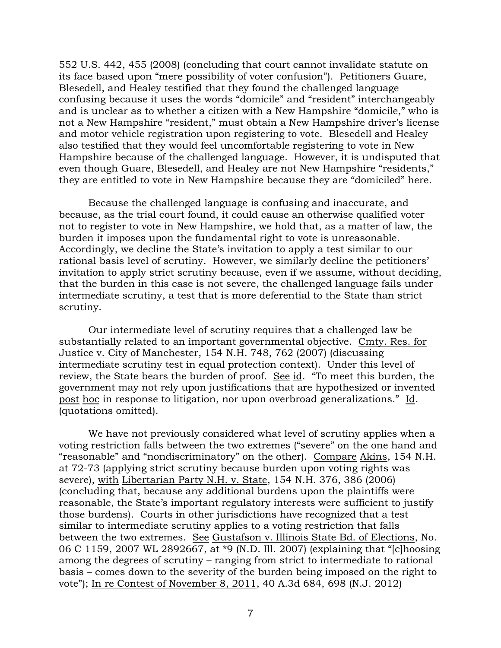552 U.S. 442, 455 (2008) (concluding that court cannot invalidate statute on its face based upon "mere possibility of voter confusion"). Petitioners Guare, Blesedell, and Healey testified that they found the challenged language confusing because it uses the words "domicile" and "resident" interchangeably and is unclear as to whether a citizen with a New Hampshire "domicile," who is not a New Hampshire "resident," must obtain a New Hampshire driver's license and motor vehicle registration upon registering to vote. Blesedell and Healey also testified that they would feel uncomfortable registering to vote in New Hampshire because of the challenged language. However, it is undisputed that even though Guare, Blesedell, and Healey are not New Hampshire "residents," they are entitled to vote in New Hampshire because they are "domiciled" here.

Because the challenged language is confusing and inaccurate, and because, as the trial court found, it could cause an otherwise qualified voter not to register to vote in New Hampshire, we hold that, as a matter of law, the burden it imposes upon the fundamental right to vote is unreasonable. Accordingly, we decline the State's invitation to apply a test similar to our rational basis level of scrutiny. However, we similarly decline the petitioners' invitation to apply strict scrutiny because, even if we assume, without deciding, that the burden in this case is not severe, the challenged language fails under intermediate scrutiny, a test that is more deferential to the State than strict scrutiny.

Our intermediate level of scrutiny requires that a challenged law be substantially related to an important governmental objective. Cmty. Res. for Justice v. City of Manchester, 154 N.H. 748, 762 (2007) (discussing intermediate scrutiny test in equal protection context). Under this level of review, the State bears the burden of proof. See id. "To meet this burden, the government may not rely upon justifications that are hypothesized or invented post hoc in response to litigation, nor upon overbroad generalizations." Id. (quotations omitted).

We have not previously considered what level of scrutiny applies when a voting restriction falls between the two extremes ("severe" on the one hand and "reasonable" and "nondiscriminatory" on the other). Compare Akins, 154 N.H. at 72-73 (applying strict scrutiny because burden upon voting rights was severe), with Libertarian Party N.H. v. State, 154 N.H. 376, 386 (2006) (concluding that, because any additional burdens upon the plaintiffs were reasonable, the State's important regulatory interests were sufficient to justify those burdens). Courts in other jurisdictions have recognized that a test similar to intermediate scrutiny applies to a voting restriction that falls between the two extremes. See Gustafson v. Illinois State Bd. of Elections, No. 06 C 1159, 2007 WL 2892667, at \*9 (N.D. Ill. 2007) (explaining that "[c]hoosing among the degrees of scrutiny – ranging from strict to intermediate to rational basis – comes down to the severity of the burden being imposed on the right to vote"); In re Contest of November 8, 2011, 40 A.3d 684, 698 (N.J. 2012)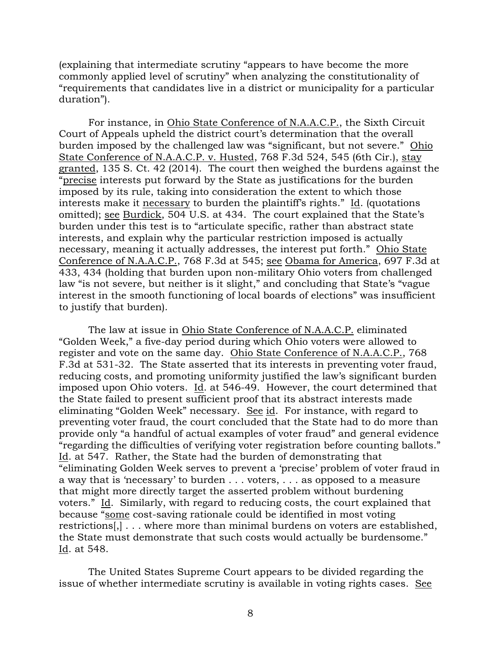(explaining that intermediate scrutiny "appears to have become the more commonly applied level of scrutiny" when analyzing the constitutionality of "requirements that candidates live in a district or municipality for a particular duration").

For instance, in Ohio State Conference of N.A.A.C.P., the Sixth Circuit Court of Appeals upheld the district court's determination that the overall burden imposed by the challenged law was "significant, but not severe." Ohio State Conference of N.A.A.C.P. v. Husted, 768 F.3d 524, 545 (6th Cir.), stay granted, 135 S. Ct. 42 (2014). The court then weighed the burdens against the "precise interests put forward by the State as justifications for the burden imposed by its rule, taking into consideration the extent to which those interests make it necessary to burden the plaintiff's rights." Id. (quotations omitted); see Burdick, 504 U.S. at 434. The court explained that the State's burden under this test is to "articulate specific, rather than abstract state interests, and explain why the particular restriction imposed is actually necessary, meaning it actually addresses, the interest put forth." Ohio State Conference of N.A.A.C.P., 768 F.3d at 545; see Obama for America, 697 F.3d at 433, 434 (holding that burden upon non-military Ohio voters from challenged law "is not severe, but neither is it slight," and concluding that State's "vague interest in the smooth functioning of local boards of elections" was insufficient to justify that burden).

The law at issue in Ohio State Conference of N.A.A.C.P. eliminated "Golden Week," a five-day period during which Ohio voters were allowed to register and vote on the same day. Ohio State Conference of N.A.A.C.P., 768 F.3d at 531-32. The State asserted that its interests in preventing voter fraud, reducing costs, and promoting uniformity justified the law's significant burden imposed upon Ohio voters. Id. at 546-49. However, the court determined that the State failed to present sufficient proof that its abstract interests made eliminating "Golden Week" necessary. See id. For instance, with regard to preventing voter fraud, the court concluded that the State had to do more than provide only "a handful of actual examples of voter fraud" and general evidence "regarding the difficulties of verifying voter registration before counting ballots." Id. at 547. Rather, the State had the burden of demonstrating that "eliminating Golden Week serves to prevent a 'precise' problem of voter fraud in a way that is 'necessary' to burden . . . voters, . . . as opposed to a measure that might more directly target the asserted problem without burdening voters." Id. Similarly, with regard to reducing costs, the court explained that because "some cost-saving rationale could be identified in most voting restrictions[,] . . . where more than minimal burdens on voters are established, the State must demonstrate that such costs would actually be burdensome." Id. at 548.

The United States Supreme Court appears to be divided regarding the issue of whether intermediate scrutiny is available in voting rights cases. See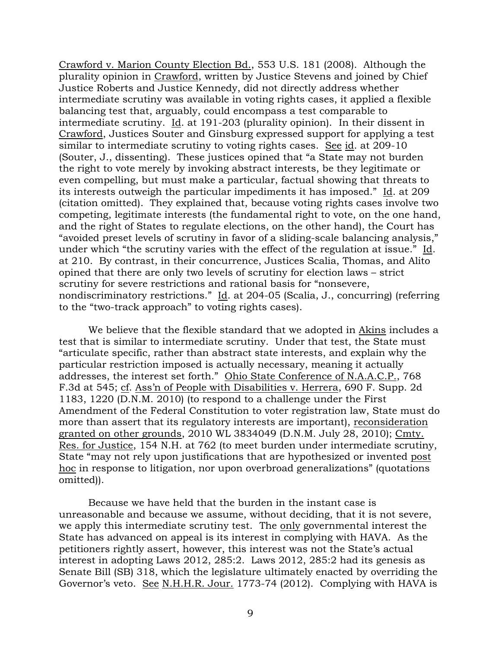Crawford v. Marion County Election Bd., 553 U.S. 181 (2008). Although the plurality opinion in Crawford, written by Justice Stevens and joined by Chief Justice Roberts and Justice Kennedy, did not directly address whether intermediate scrutiny was available in voting rights cases, it applied a flexible balancing test that, arguably, could encompass a test comparable to intermediate scrutiny. Id. at 191-203 (plurality opinion).In their dissent in Crawford, Justices Souter and Ginsburg expressed support for applying a test similar to intermediate scrutiny to voting rights cases. See id. at 209-10 (Souter, J., dissenting). These justices opined that "a State may not burden the right to vote merely by invoking abstract interests, be they legitimate or even compelling, but must make a particular, factual showing that threats to its interests outweigh the particular impediments it has imposed." Id. at 209 (citation omitted). They explained that, because voting rights cases involve two competing, legitimate interests (the fundamental right to vote, on the one hand, and the right of States to regulate elections, on the other hand), the Court has "avoided preset levels of scrutiny in favor of a sliding-scale balancing analysis," under which "the scrutiny varies with the effect of the regulation at issue." Id. at 210. By contrast, in their concurrence, Justices Scalia, Thomas, and Alito opined that there are only two levels of scrutiny for election laws – strict scrutiny for severe restrictions and rational basis for "nonsevere, nondiscriminatory restrictions." Id. at 204-05 (Scalia, J., concurring) (referring to the "two-track approach" to voting rights cases).

We believe that the flexible standard that we adopted in Akins includes a test that is similar to intermediate scrutiny. Under that test, the State must "articulate specific, rather than abstract state interests, and explain why the particular restriction imposed is actually necessary, meaning it actually addresses, the interest set forth." Ohio State Conference of N.A.A.C.P., 768 F.3d at 545; cf. Ass'n of People with Disabilities v. Herrera, 690 F. Supp. 2d 1183, 1220 (D.N.M. 2010) (to respond to a challenge under the First Amendment of the Federal Constitution to voter registration law, State must do more than assert that its regulatory interests are important), reconsideration granted on other grounds, 2010 WL 3834049 (D.N.M. July 28, 2010); Cmty. Res. for Justice, 154 N.H. at 762 (to meet burden under intermediate scrutiny, State "may not rely upon justifications that are hypothesized or invented post hoc in response to litigation, nor upon overbroad generalizations" (quotations omitted)).

Because we have held that the burden in the instant case is unreasonable and because we assume, without deciding, that it is not severe, we apply this intermediate scrutiny test. The only governmental interest the State has advanced on appeal is its interest in complying with HAVA. As the petitioners rightly assert, however, this interest was not the State's actual interest in adopting Laws 2012, 285:2. Laws 2012, 285:2 had its genesis as Senate Bill (SB) 318, which the legislature ultimately enacted by overriding the Governor's veto. See N.H.H.R. Jour. 1773-74 (2012). Complying with HAVA is